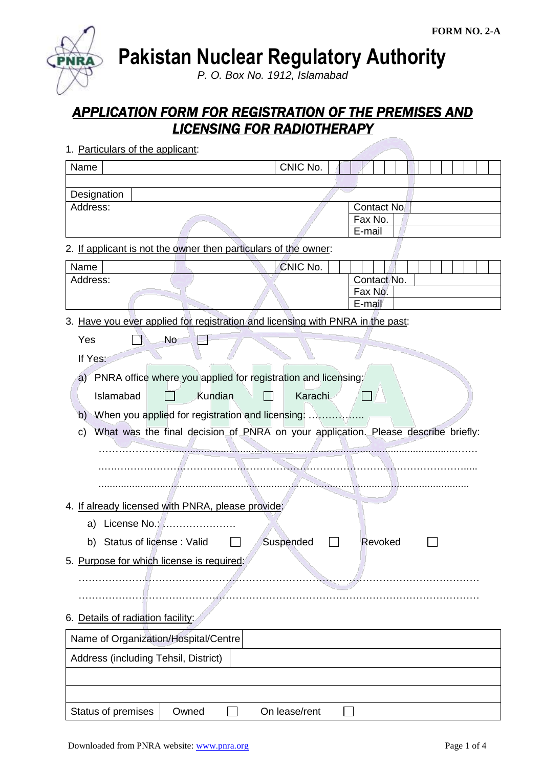**Pakistan Nuclear Regulatory Authority**

*P. O. Box No. 1912, Islamabad*

## *APPLICATION FORM FOR REGISTRATION OF THE PREMISES AND LICENSING FOR RADIOTHERAPY*

| 1. Particulars of the applicant: |
|----------------------------------|
|----------------------------------|

PNR

| Name                                                                           |                                                                  | CNIC No.      |                                                                                   |
|--------------------------------------------------------------------------------|------------------------------------------------------------------|---------------|-----------------------------------------------------------------------------------|
| Designation                                                                    |                                                                  |               |                                                                                   |
| Address:                                                                       |                                                                  |               | <b>Contact No</b><br>Fax No.<br>E-mail                                            |
| 2. If applicant is not the owner then particulars of the owner:                |                                                                  |               |                                                                                   |
| Name                                                                           |                                                                  | CNIC No.      |                                                                                   |
| Address:                                                                       |                                                                  |               | Contact No.<br>Fax No.<br>E-mail                                                  |
| 3. Have you ever applied for registration and licensing with PNRA in the past: |                                                                  |               |                                                                                   |
| Yes                                                                            | <b>No</b>                                                        |               |                                                                                   |
| If Yes:                                                                        |                                                                  |               |                                                                                   |
|                                                                                | a) PNRA office where you applied for registration and licensing: |               |                                                                                   |
| Islamabad                                                                      | Kundian                                                          | Karachi       |                                                                                   |
| b)                                                                             |                                                                  |               |                                                                                   |
| C)                                                                             |                                                                  |               | What was the final decision of PNRA on your application. Please describe briefly: |
|                                                                                | 8.                                                               |               |                                                                                   |
| 4. If already licensed with PNRA, please provide:                              |                                                                  |               |                                                                                   |
| a)                                                                             | License No.:                                                     |               |                                                                                   |
| b) Status of license: Valid                                                    |                                                                  | Suspended     | Revoked                                                                           |
| 5. Purpose for which license is required:                                      |                                                                  |               |                                                                                   |
|                                                                                |                                                                  |               |                                                                                   |
|                                                                                |                                                                  |               |                                                                                   |
| 6. Details of radiation facility:                                              |                                                                  |               |                                                                                   |
| Name of Organization/Hospital/Centre                                           |                                                                  |               |                                                                                   |
| Address (including Tehsil, District)                                           |                                                                  |               |                                                                                   |
|                                                                                |                                                                  |               |                                                                                   |
| Status of premises                                                             | Owned                                                            | On lease/rent |                                                                                   |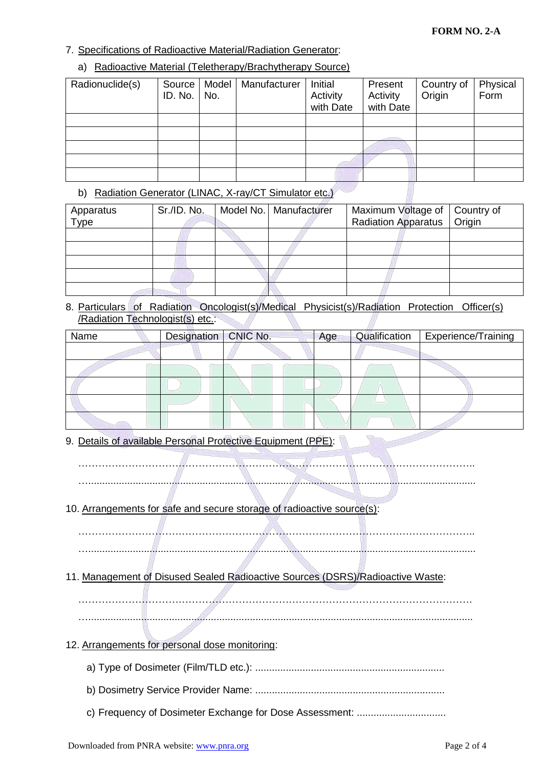- 7. Specifications of Radioactive Material/Radiation Generator:
	- a) Radioactive Material (Teletherapy/Brachytherapy Source)

| Radionuclide(s) | Source<br>ID. No. | Model<br>No. | Manufacturer | Initial<br>Activity<br>with Date | Present<br>Activity<br>with Date | Country of<br>Origin | Physical<br>Form |
|-----------------|-------------------|--------------|--------------|----------------------------------|----------------------------------|----------------------|------------------|
|                 |                   |              |              |                                  |                                  |                      |                  |
|                 |                   |              |              |                                  |                                  |                      |                  |
|                 |                   |              |              |                                  |                                  |                      |                  |
|                 |                   |              |              |                                  |                                  |                      |                  |
|                 |                   |              |              |                                  |                                  |                      |                  |

## b) Radiation Generator (LINAC, X-ray/CT Simulator etc.)

| Apparatus<br>Type | Sr./ID. No. | Model No.   Manufacturer | Maximum Voltage of<br><b>Radiation Apparatus</b> | Country of<br>Origin |
|-------------------|-------------|--------------------------|--------------------------------------------------|----------------------|
|                   |             |                          |                                                  |                      |
|                   |             |                          |                                                  |                      |
|                   |             |                          |                                                  |                      |
|                   |             |                          |                                                  |                      |
|                   |             |                          |                                                  |                      |

8. Particulars of Radiation Oncologist(s)/Medical Physicist(s)/Radiation Protection Officer(s) /Radiation Technologist(s) etc.:

| Name | Designation   CNIC No. | Age | Qualification | Experience/Training |
|------|------------------------|-----|---------------|---------------------|
|      |                        |     |               |                     |
|      |                        |     |               |                     |
|      |                        |     |               |                     |
|      |                        |     |               |                     |
|      |                        |     |               |                     |

9. Details of available Personal Protective Equipment (PPE):

…...........................................................................................................................................

10. Arrangements for safe and secure storage of radioactive source(s):

………………………………………………………………………………………………………..

………………………………………………………………………………………………………..

- …...........................................................................................................................................
- 11. Management of Disused Sealed Radioactive Sources (DSRS)/Radioactive Waste:

……………………………………………………………………………………………………….

- …..........................................................................................................................................
- 12. Arrangements for personal dose monitoring:
	- a) Type of Dosimeter (Film/TLD etc.): ....................................................................
	- b) Dosimetry Service Provider Name: ....................................................................
	- c) Frequency of Dosimeter Exchange for Dose Assessment: ................................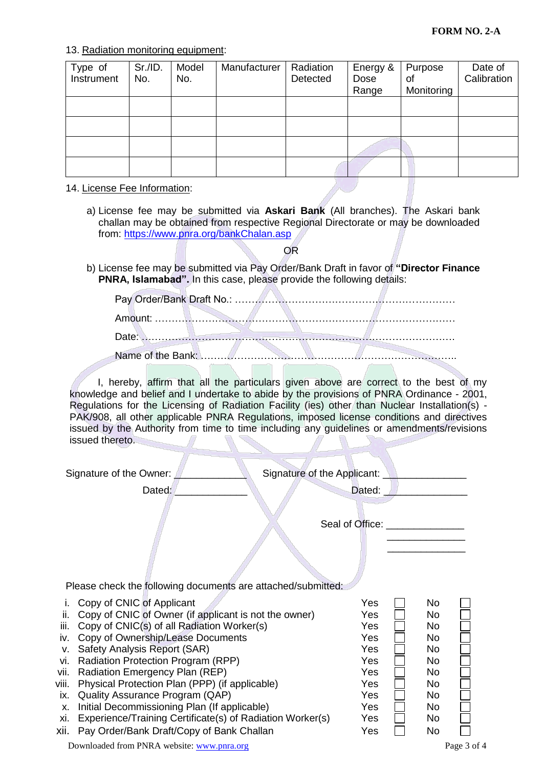## 13. Radiation monitoring equipment:

| Type of<br>Instrument | Sr./ID.<br>No. | Model<br>No. | Manufacturer | Radiation<br>Detected | Energy &<br>Dose<br>Range | Purpose<br>of<br>Monitoring | Date of<br>Calibration |
|-----------------------|----------------|--------------|--------------|-----------------------|---------------------------|-----------------------------|------------------------|
|                       |                |              |              |                       |                           |                             |                        |
|                       |                |              |              |                       |                           |                             |                        |
|                       |                |              |              |                       |                           |                             |                        |
|                       |                |              |              |                       |                           |                             |                        |

## 14. License Fee Information:

a) License fee may be submitted via **Askari Bank** (All branches). The Askari bank challan may be obtained from respective Regional Directorate or may be downloaded from:<https://www.pnra.org/bankChalan.asp>

OR

b) License fee may be submitted via Pay Order/Bank Draft in favor of **"Director Finance PNRA, Islamabad".** In this case, please provide the following details:

I, hereby, affirm that all the particulars given above are correct to the best of my knowledge and belief and I undertake to abide by the provisions of PNRA Ordinance - 2001, Regulations for the Licensing of Radiation Facility (ies) other than Nuclear Installation(s) - PAK/908, all other applicable PNRA Regulations, imposed license conditions and directives issued by the Authority from time to time including any guidelines or amendments/revisions issued thereto.

| Signature of the Owner: | Signature of the Applicant: |  |
|-------------------------|-----------------------------|--|
| Dated:                  | Dated:                      |  |
|                         |                             |  |

Seal of Office:

 $\mathcal{L}_\text{max}$  , where  $\mathcal{L}_\text{max}$  and  $\mathcal{L}_\text{max}$  $\mathbb{R}$  and  $\mathbb{R}$  are the set of the set of the set of the set of the set of the set of the set of the set of the set of the set of the set of the set of the set of the set of the set of the set of the set of the set

Please check the following documents are attached/submitted:

- i. Copy of CNIC of Applicant No. 2012 11: No. 2013 ii. Copy of CNIC of Owner (if applicant is not the owner)  $Yes$  No iii. Copy of CNIC(s) of all Radiation Worker(s)  $Yes$  No iv. Copy of Ownership/Lease Documents  $Yes \tNos$  No v. Safety Analysis Report (SAR) Yes No vi. Radiation Protection Program (RPP)  $Yes \tNos$  No vii. Radiation Emergency Plan (REP) No No No No viii. Physical Protection Plan (PPP) (if applicable) Yes No ix. Quality Assurance Program  $(QAP)$   $Yes \tN$  No x. Initial Decommissioning Plan (If applicable) Yes No xi. Experience/Training Certificate(s) of Radiation Worker(s)  $Yes$  No
- xii. Pay Order/Bank Draft/Copy of Bank Challan  $Y$ es  $\Box$  No